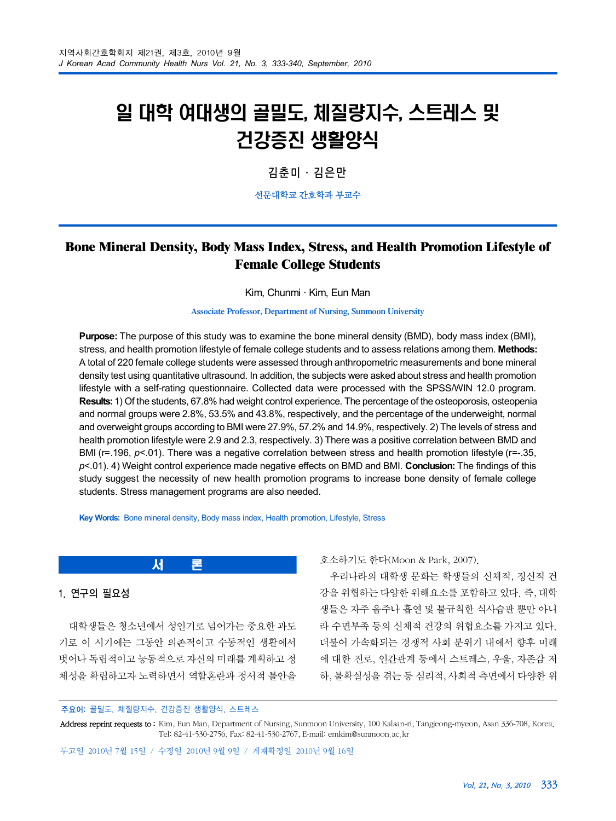# 일 대학 여대생의 골밀도, 체질량지수, 스트레스 및 건강증진 생활양식

김춘미·김은만

선문대학교 간호학과 부교수

# **Bone Mineral Density, Body Mass Index, Stress, and Health Promotion Lifestyle of Female College Students**

Kim, Chunmi · Kim, Eun Man

**Associate Professor, Department of Nursing, Sunmoon University**

**Purpose:** The purpose of this study was to examine the bone mineral density (BMD), body mass index (BMI), stress, and health promotion lifestyle of female college students and to assess relations among them. **Methods:** A total of 220 female college students were assessed through anthropometric measurements and bone mineral density test using quantitative ultrasound. In addition, the subjects were asked about stress and health promotion lifestyle with a self-rating questionnaire. Collected data were processed with the SPSS/WIN 12.0 program. **Results:** 1) Of the students, 67.8% had weight control experience. The percentage of the osteoporosis, osteopenia and normal groups were 2.8%, 53.5% and 43.8%, respectively, and the percentage of the underweight, normal and overweight groups according to BMI were 27.9%, 57.2% and 14.9%, respectively. 2) The levels of stress and health promotion lifestyle were 2.9 and 2.3, respectively. 3) There was a positive correlation between BMD and BMI (r=.196, *p*<.01). There was a negative correlation between stress and health promotion lifestyle (r=-.35, *p*<.01). 4) Weight control experience made negative effects on BMD and BMI. **Conclusion:** The findings of this study suggest the necessity of new health promotion programs to increase bone density of female college students. Stress management programs are also needed.

**Key Words:** Bone mineral density, Body mass index, Health promotion, Lifestyle, Stress

서 론

## 1. 연구의 필요성

대학생들은 청소년에서 성인기로 넘어가는 중요한 과도 기로 이 시기에는 그동안 의존적이고 수동적인 생활에서 벗어나 독립적이고 능동적으로 자신의 미래를 계획하고 정 체성을 확립하고자 노력하면서 역할혼란과 정서적 불안을 호소하기도 한다(Moon & Park, 2007).

우리나라의 대학생 문화는 학생들의 신체적, 정신적 건 강을 위협하는 다양한 위해요소를 포함하고 있다. 즉, 대학 생들은 자주 음주나 흡연 및 불규칙한 식사습관 뿐만 아니 라 수면부족 등의 신체적 건강의 위협요소를 가지고 있다. 더불어 가속화되는 경쟁적 사회 분위기 내에서 향후 미래 에 대한 진로, 인간관계 등에서 스트레스, 우울, 자존감 저 하, 불확실성을 겪는 등 심리적, 사회적 측면에서 다양한 위

주요어: 골밀도, 체질량지수, 건강증진 생활양식, 스트레스

Address reprint requests to: Kim, Eun Man, Department of Nursing, Sunmoon University, 100 Kalsan-ri, Tangjeong-myeon, Asan 336-708, Korea. Tel: 82-41-530-2756, Fax: 82-41-530-2767, E-mail: emkim@sunmoon.ac.kr

투고일 2010년 7월 15일 / 수정일 2010년 9월 9일 / 게재확정일 2010년 9월 16일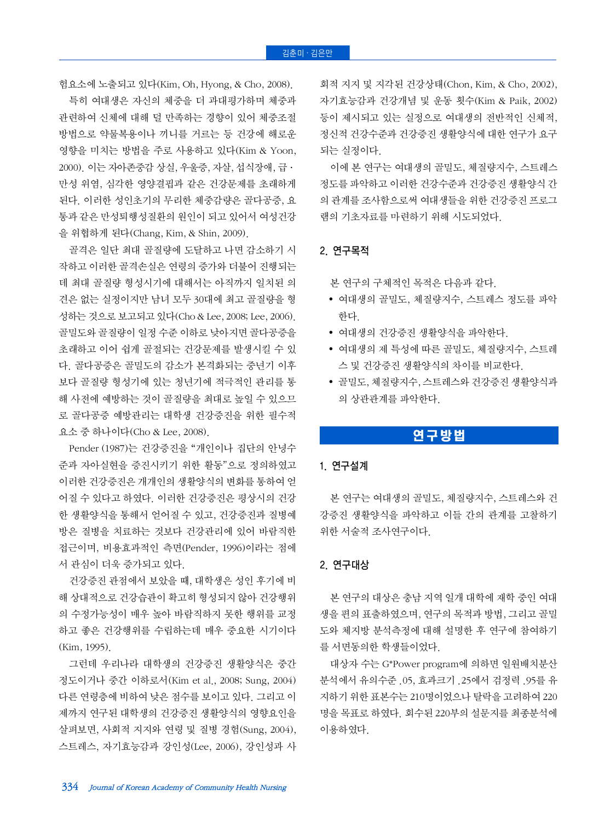험요소에 노출되고 있다(Kim, Oh, Hyong, & Cho, 2008).

특히 여대생은 자신의 체중을 더 과대평가하며 체중과 관련하여 신체에 대해 덜 만족하는 경향이 있어 체중조절 방법으로 약물복용이나 끼니를 거르는 등 건강에 해로운 영향을 미치는 방법을 주로 사용하고 있다(Kim & Yoon, 2000). 이는 자아존중감 상실, 우울증, 자살, 섭식장애, 급· 만성 위염, 심각한 영양결핍과 같은 건강문제를 초래하게 된다. 이러한 성인초기의 무리한 체중감량은 골다공증, 요 통과 같은 만성퇴행성질환의 원인이 되고 있어서 여성건강 을 위협하게 된다(Chang, Kim, & Shin, 2009).

골격은 일단 최대 골질량에 도달하고 나면 감소하기 시 작하고 이러한 골격손실은 연령의 증가와 더불어 진행되는 데 최대 골질량 형성시기에 대해서는 아직까지 일치된 의 견은 없는 실정이지만 남녀 모두 30대에 최고 골질량을 형 성하는 것으로 보고되고 있다(Cho & Lee, 2008; Lee, 2006). 골밀도와 골질량이 일정 수준 이하로 낮아지면 골다공증을 초래하고 이어 쉽게 골절되는 건강문제를 발생시킬 수 있 다. 골다공증은 골밀도의 감소가 본격화되는 중년기 이후 보다 골질량 형성기에 있는 청년기에 적극적인 관리를 통 해 사전에 예방하는 것이 골질량을 최대로 높일 수 있으므 로 골다공증 예방관리는 대학생 건강증진을 위한 필수적 요소 중 하나이다(Cho & Lee, 2008).

Pender (1987)는 건강증진을 개인이나 집단의 안녕수 준과 자아실현을 증진시키기 위한 활동"으로 정의하였고 이러한 건강증진은 개개인의 생활양식의 변화를 통하여 얻 어질 수 있다고 하였다. 이러한 건강증진은 평상시의 건강 한 생활양식을 통해서 얻어질 수 있고, 건강증진과 질병예 방은 질병을 치료하는 것보다 건강관리에 있어 바람직한 접근이며, 비용효과적인 측면(Pender, 1996)이라는 점에 서 관심이 더욱 증가되고 있다.

건강증진 관점에서 보았을 때, 대학생은 성인 후기에 비 해 상대적으로 건강습관이 확고히 형성되지 않아 건강행위 의 수정가능성이 매우 높아 바람직하지 못한 행위를 교정 하고 좋은 건강행위를 수립하는데 매우 중요한 시기이다 (Kim, 1995).

그런데 우리나라 대학생의 건강증진 생활양식은 중간 정도이거나 중간 이하로서(Kim et al., 2008; Sung, 2004) 다른 연령층에 비하여 낮은 점수를 보이고 있다. 그리고 이 제까지 연구된 대학생의 건강증진 생활양식의 영향요인을 살펴보면, 사회적 지지와 연령 및 질병 경험(Sung, 2004), 스트레스, 자기효능감과 강인성(Lee, 2006), 강인성과 사

회적 지지 및 지각된 건강상태(Chon, Kim, & Cho, 2002), 자기효능감과 건강개념 및 운동 횟수(Kim & Paik, 2002) 등이 제시되고 있는 실정으로 여대생의 전반적인 신체적, 정신적 건강수준과 건강증진 생활양식에 대한 연구가 요구 되는 실정이다.

이에 본 연구는 여대생의 골밀도, 체질량지수, 스트레스 정도를 파악하고 이러한 건강수준과 건강증진 생활양식 간 의 관계를 조사함으로써 여대생들을 위한 건강증진 프로그 램의 기초자료를 마련하기 위해 시도되었다.

## 2. 연구목적

본 연구의 구체적인 목적은 다음과 같다.

- 여대생의 골밀도, 체질량지수, 스트레스 정도를 파악 한다.
- 여대생의 건강증진 생활양식을 파악한다.
- 여대생의 제 특성에 따른 골밀도, 체질량지수, 스트레 스 및 건강증진 생활양식의 차이를 비교한다.
- 골밀도, 체질량지수, 스트레스와 건강증진 생활양식과 의 상관관계를 파악한다.

## 연구방법

#### 1. 연구설계

본 연구는 여대생의 골밀도, 체질량지수, 스트레스와 건 강증진 생활양식을 파악하고 이들 간의 관계를 고찰하기 위한 서술적 조사연구이다.

## 2. 연구대상

본 연구의 대상은 충남 지역 일개 대학에 재학 중인 여대 생을 편의 표출하였으며, 연구의 목적과 방법, 그리고 골밀 도와 체지방 분석측정에 대해 설명한 후 연구에 참여하기 를 서면동의한 학생들이었다.

대상자 수는 G\*Power program에 의하면 일원배치분산 분석에서 유의수준 .05, 효과크기 .25에서 검정력 .95를 유 지하기 위한 표본수는 210명이었으나 탈락을 고려하여 220 명을 목표로 하였다. 회수된 220부의 설문지를 최종분석에 이용하였다.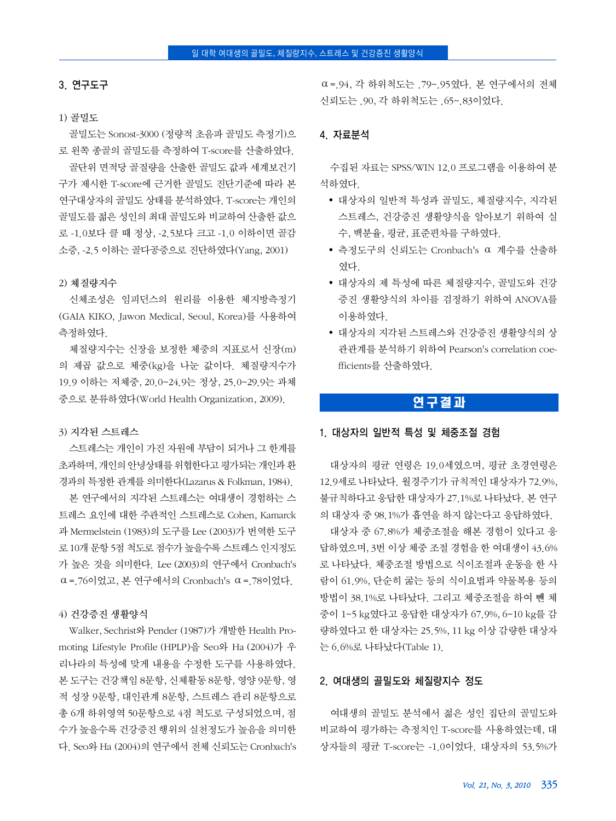## 3. 연구도구

#### 1) 골밀도

골밀도는 Sonost-3000 (정량적 초음파 골밀도 측정기)으 로 왼쪽 종골의 골밀도를 측정하여 T-score를 산출하였다. 골단위 면적당 골질량을 산출한 골밀도 값과 세계보건기 구가 제시한 T-score에 근거한 골밀도 진단기준에 따라 본 연구대상자의 골밀도 상태를 분석하였다. T-score는 개인의 골밀도를 젊은 성인의 최대 골밀도와 비교하여 산출한 값으 로 -1.0보다 클 때 정상, -2.5보다 크고 -1.0 이하이면 골감 소증, -2.5 이하는 골다공증으로 진단하였다(Yang, 2001)

#### 2) 체질량지수

신체조성은 임피던스의 원리를 이용한 체지방측정기 (GAIA KIKO, Jawon Medical, Seoul, Korea)를 사용하여 측정하였다.

체질량지수는 신장을 보정한 체중의 지표로서 신장(m) 의 제곱 값으로 체중(kg)을 나눈 값이다. 체질량지수가 19.9 이하는 저체중, 20.0~24.9는 정상, 25.0~29.9는 과체 중으로 분류하였다(World Health Organization, 2009).

#### 3) 지각된 스트레스

스트레스는 개인이 가진 자원에 부담이 되거나 그 한계를 초과하며, 개인의안녕상태를위협한다고평가되는 개인과환 경과의 특정한 관계를 의미한다(Lazarus & Folkman, 1984).

본 연구에서의 지각된 스트레스는 여대생이 경험하는 스 트레스 요인에 대한 주관적인 스트레스로 Cohen, Kamarck 과 Mermelstein (1983)의 도구를 Lee (2003)가 번역한 도구 로 10개 문항 5점 척도로 점수가 높을수록 스트레스 인지정도 가 높은 것을 의미한다. Lee (2003)의 연구에서 Cronbach's  $α = 76$ 이었고, 본 연구에서의 Cronbach's  $α = 78$ 이었다.

#### 4) 건강증진 생활양식

Walker, Sechrist와 Pender (1987)가 개발한 Health Promoting Lifestyle Profile (HPLP)을 Seo와 Ha (2004)가 우 리나라의 특성에 맞게 내용을 수정한 도구를 사용하였다. 본 도구는 건강책임 8문항, 신체활동 8문항, 영양 9문항, 영 적 성장 9문항, 대인관계 8문항, 스트레스 관리 8문항으로 총 6개 하위영역 50문항으로 4점 척도로 구성되었으며, 점 수가 높을수록 건강증진 행위의 실천정도가 높음을 의미한 다. Seo와 Ha (2004)의 연구에서 전체 신뢰도는 Cronbach's

⍺=.94, 각 하위척도는 .79~.95였다. 본 연구에서의 전체 신뢰도는 90. 각 하위척도는 65~ 83이었다.

## 4. 자료분석

수집된 자료는 SPSS/WIN 12.0 프로그램을 이용하여 분 석하였다.

- 대상자의 일반적 특성과 골밀도, 체질량지수, 지각된 스트레스, 건강증진 생활양식을 알아보기 위하여 실 수, 백분율, 평균, 표준편차를 구하였다.
- 측정도구의 신뢰도는 Cronbach's α 계수를 산출하 였다.
- 대상자의 제 특성에 따른 체질량지수, 골밀도와 건강 증진 생활양식의 차이를 검정하기 위하여 ANOVA를 이용하였다.
- 대상자의 지각된 스트레스와 건강증진 생활양식의 상 관관계를 분석하기 위하여 Pearson's correlation coefficients를 산출하였다.

## 연구결과

#### 1. 대상자의 일반적 특성 및 체중조절 경험

대상자의 평균 연령은 19.0세였으며, 평균 초경연령은 12.9세로 나타났다. 월경주기가 규칙적인 대상자가 72.9%, 불규칙하다고 응답한 대상자가 27.1%로 나타났다. 본 연구 의 대상자 중 98.1%가 흡연을 하지 않는다고 응답하였다.

대상자 중 67.8%가 체중조절을 해본 경험이 있다고 응 답하였으며, 3번 이상 체중 조절 경험을 한 여대생이 43.6% 로 나타났다. 체중조절 방법으로 식이조절과 운동을 한 사 람이 61.9%, 단순히 굶는 등의 식이요법과 약물복용 등의 방법이 38.1%로 나타났다. 그리고 체중조절을 하여 뺀 체 중이 1~5 kg였다고 응답한 대상자가 67.9%, 6~10 kg를 감 량하였다고 한 대상자는 25.5%, 11 kg 이상 감량한 대상자 는 6.6%로 나타났다(Table 1).

## 2. 여대생의 골밀도와 체질량지수 정도

여대생의 골밀도 분석에서 젊은 성인 집단의 골밀도와 비교하여 평가하는 측정치인 T-score를 사용하였는데, 대 상자들의 평균 T-score는 -1.0이었다. 대상자의 53.5%가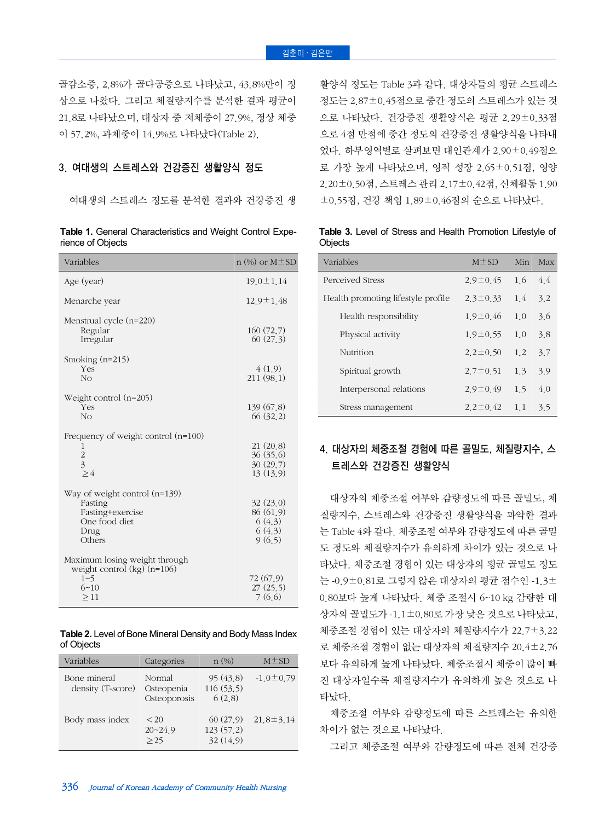골감소증, 2.8%가 골다공증으로 나타났고, 43.8%만이 정 상으로 나왔다. 그리고 체질량지수를 분석한 결과 평균이 21.8로 나타났으며, 대상자 중 저체중이 27.9%, 정상 체중 이 57.2%, 과체중이 14.9%로 나타났다(Table 2).

## 3. 여대생의 스트레스와 건강증진 생활양식 정도

여대생의 스트레스 정도를 분석한 결과와 건강증진 생

**Table 1.** General Characteristics and Weight Control Experience of Objects

| Variables                                                                                         | $n$ (%) or M $\pm$ SD                               |
|---------------------------------------------------------------------------------------------------|-----------------------------------------------------|
| Age (year)                                                                                        | $19.0 \pm 1.14$                                     |
| Menarche year                                                                                     | 12.9±1.48                                           |
| Menstrual cycle (n=220)<br>Regular<br>Irregular                                                   | 160(72,7)<br>60(27,3)                               |
| Smoking $(n=215)$<br>Yes<br>No                                                                    | 4(1,9)<br>211 (98.1)                                |
| Weight control $(n=205)$<br>Yes<br>N <sub>O</sub>                                                 | 139 (67.8)<br>66(32,2)                              |
| Frequency of weight control $(n=100)$<br>1<br>$\frac{2}{3}$<br>$\geq 4$                           | 21(20,8)<br>36(35,6)<br>30(29.7)<br>13(13,9)        |
| Way of weight control $(n=139)$<br>Fasting<br>Fasting+exercise<br>One food diet<br>Drug<br>Others | 32(23.0)<br>86 (61.9)<br>6(4,3)<br>6(4,3)<br>9(6.5) |
| Maximum losing weight through<br>weight control $(kg)$ (n=106)<br>$1 - 5$<br>$6 - 10$<br>>11      | 72 (67.9)<br>27(25,5)<br>7(6.6)                     |

**Table 2.** Level of Bone Mineral Density and Body Mass Index of Objects

| Variables                         | Categories                           | $n (\%)$                          | $M \pm SD$      |
|-----------------------------------|--------------------------------------|-----------------------------------|-----------------|
| Bone mineral<br>density (T-score) | Normal<br>Osteopenia<br>Osteoporosis | 95(43.8)<br>116(53.5)<br>6(2.8)   | $-1.0 \pm 0.79$ |
| Body mass index                   | < 20<br>$20 - 24.9$<br>>25           | 60(27.9)<br>123(57,2)<br>32(14.9) | $21.8 \pm 3.14$ |

활양식 정도는 Table 3과 같다. 대상자들의 평균 스트레스 정도는 2.87±0.45점으로 중간 정도의 스트레스가 있는 것 으로 나타났다. 건강증진 생활양식은 평균 2.29±0.33점 으로 4점 만점에 중간 정도의 건강증진 생활양식을 나타내 었다. 하부영역별로 살펴보면 대인관계가 2.90±0.49점으 로 가장 높게 나타났으며, 영적 성장 2.65±0.51점, 영양 2.20±0.50점, 스트레스 관리 2.17±0.42점, 신체활동 1.90 ±0.55점, 건강 책임 1.89±0.46점의 순으로 나타났다.

**Table 3.** Level of Stress and Health Promotion Lifestyle of **Objects** 

| Variables                          | $M\pm SD$      | Min | Max |
|------------------------------------|----------------|-----|-----|
| Perceived Stress                   | $2.9 \pm 0.45$ | 1.6 | 44  |
| Health promoting lifestyle profile | $2.3 \pm 0.33$ | 1.4 | 3.2 |
| Health responsibility              | $1.9 \pm 0.46$ | 10  | 36  |
| Physical activity                  | $1.9 \pm 0.55$ | 1.0 | 3.8 |
| Nutrition                          | $2.2 \pm 0.50$ | 1.2 | 3.7 |
| Spiritual growth                   | $2.7 \pm 0.51$ | 1.3 | 3.9 |
| Interpersonal relations            | $2.9 \pm 0.49$ | 15  | 40  |
| Stress management                  | $2.2 \pm 0.42$ | 1.1 | 3.5 |

# 4. 대상자의 체중조절 경험에 따른 골밀도, 체질량지수, 스 트레스와 건강증진 생활양식

대상자의 체중조절 여부와 감량정도에 따른 골밀도, 체 질량지수, 스트레스와 건강증진 생활양식을 파악한 결과 는 Table 4와 같다. 체중조절 여부와 감량정도에 따른 골밀 도 정도와 체질량지수가 유의하게 차이가 있는 것으로 나 타났다. 체중조절 경험이 있는 대상자의 평균 골밀도 정도 는 -0.9±0.81로 그렇지 않은 대상자의 평균 점수인 -1.3± 0.80보다 높게 나타났다. 체중 조절시 6~10 kg 감량한 대 상자의 골밀도가 -1.1±0.80로 가장 낮은 것으로 나타났고, 체중조절 경험이 있는 대상자의 체질량지수가 22.7±3.22 로 체중조절 경험이 없는 대상자의 체질량지수 20.4±2.76 보다 유의하게 높게 나타났다. 체중조절시 체중이 많이 빠 진 대상자일수록 체질량지수가 유의하게 높은 것으로 나 타났다.

체중조절 여부와 감량정도에 따른 스트레스는 유의한 차이가 없는 것으로 나타났다.

그리고 체중조절 여부와 감량정도에 따른 전체 건강증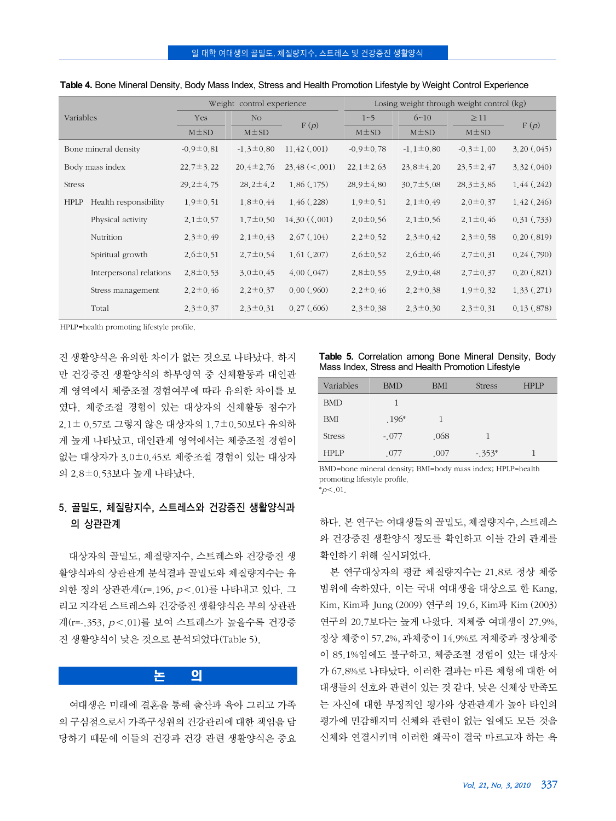| Variables   |                         | Weight control experience |                 |                       | Losing weight through weight control (kg) |                 |                 |                 |  |
|-------------|-------------------------|---------------------------|-----------------|-----------------------|-------------------------------------------|-----------------|-----------------|-----------------|--|
|             |                         | Yes                       | N <sub>O</sub>  |                       | $1 - 5$                                   | $6 - 10$        | $\geq$ 11       |                 |  |
|             |                         | $M \pm SD$                | $M \pm SD$      | F(p)                  | $M \pm SD$                                | $M \pm SD$      | $M \pm SD$      | F(p)            |  |
|             | Bone mineral density    | $-0.9 \pm 0.81$           | $-1.3 \pm 0.80$ | 11,42(001)            | $-0.9 \pm 0.78$                           | $-1.1 \pm 0.80$ | $-0.3 \pm 1.00$ | 3,20(.045)      |  |
|             | Body mass index         | $22.7 \pm 3.22$           | $20.4 \pm 2.76$ | $23.48 \le 0.001$     | $22.1 \pm 2.63$                           | $23.8 \pm 4.20$ | $23.5 \pm 2.47$ | 3.32(.040)      |  |
| Stress      |                         | $29.2 \pm 4.75$           | $28.2 \pm 4.2$  | 1,86(.175)            | $28.9 \pm 4.80$                           | $30.7 \pm 5.08$ | $28.3 \pm 3.86$ | 1,44(.242)      |  |
| <b>HPLP</b> | Health responsibility   | $1.9 \pm 0.51$            | $1,8 \pm 0.44$  | 1,46(.228)            | $1.9 \pm 0.51$                            | $2.1 \pm 0.49$  | $2.0 \pm 0.37$  | 1,42(.246)      |  |
|             | Physical activity       | $2.1 \pm 0.57$            | $1,7 \pm 0.50$  | $14.30\ (\ldots 001)$ | $2.0 \pm 0.56$                            | $2.1 \pm 0.56$  | $2.1 \pm 0.46$  | 0.31(.733)      |  |
|             | Nutrition               | $2.3 \pm 0.49$            | $2.1 \pm 0.43$  | 2,67(.104)            | $2.2 \pm 0.52$                            | $2.3 \pm 0.42$  | $2.3 \pm 0.58$  | 0.20(.819)      |  |
|             | Spiritual growth        | $2,6 \pm 0.51$            | $2.7 \pm 0.54$  | 1,61(0,207)           | $2.6 \pm 0.52$                            | $2,6 \pm 0,46$  | $2.7 \pm 0.31$  | $0.24$ $(.790)$ |  |
|             | Interpersonal relations | $2.8 \pm 0.53$            | $3.0 \pm 0.45$  | 4.00(.047)            | $2.8 \pm 0.55$                            | $2.9 \pm 0.48$  | $2.7 \pm 0.37$  | 0.20(.821)      |  |
|             | Stress management       | $2.2 \pm 0.46$            | $2.2 \pm 0.37$  | 0.00(.960)            | $2.2 \pm 0.46$                            | $2.2 \pm 0.38$  | $1.9 \pm 0.32$  | 1,33(.271)      |  |
|             | Total                   | $2.3 \pm 0.37$            | $2.3 \pm 0.31$  | 0.27(.606)            | $2.3 \pm 0.38$                            | $2.3 \pm 0.30$  | $2.3 \pm 0.31$  | 0.13(.878)      |  |

| Table 4. Bone Mineral Density, Body Mass Index, Stress and Health Promotion Lifestyle by Weight Control Experience |  |  |  |  |  |
|--------------------------------------------------------------------------------------------------------------------|--|--|--|--|--|
|                                                                                                                    |  |  |  |  |  |

HPLP=health promoting lifestyle profile.

진 생활양식은 유의한 차이가 없는 것으로 나타났다. 하지 만 건강증진 생활양식의 하부영역 중 신체활동과 대인관 계 영역에서 체중조절 경험여부에 따라 유의한 차이를 보 였다. 체중조절 경험이 있는 대상자의 신체활동 점수가 2.1± 0.57로 그렇지 않은 대상자의 1.7±0.50보다 유의하 게 높게 나타났고, 대인관계 영역에서는 체중조절 경험이 없는 대상자가 3.0±0.45로 체중조절 경험이 있는 대상자 의 2.8±0.53보다 높게 나타났다.

## 5. 골밀도, 체질량지수, 스트레스와 건강증진 생활양식과 의 상관관계

대상자의 골밀도, 체질량지수, 스트레스와 건강증진 생 활양식과의 상관관계 분석결과 골밀도와 체질량지수는 유 의한 정의 상관관계(r=.196, <sup>p</sup><.01)를 나타내고 있다. 그 리고 지각된 스트레스와 건강증진 생활양식은 부의 상관관 계(r=-.353, <sup>p</sup><.01)를 보여 스트레스가 높을수록 건강증 진 생활양식이 낮은 것으로 분석되었다(Table 5).

# 논 의

여대생은 미래에 결혼을 통해 출산과 육아 그리고 가족 의 구심점으로서 가족구성원의 건강관리에 대한 책임을 담 당하기 때문에 이들의 건강과 건강 관련 생활양식은 중요

**Table 5.** Correlation among Bone Mineral Density, Body Mass Index, Stress and Health Promotion Lifestyle

| Variables     | <b>BMD</b> | <b>BMI</b> | <b>Stress</b> | <b>HPLP</b> |
|---------------|------------|------------|---------------|-------------|
| <b>BMD</b>    |            |            |               |             |
| <b>BMI</b>    | $.196*$    |            |               |             |
| <b>Stress</b> | $-.077$    | .068       |               |             |
| <b>HPLP</b>   | .077       | .007       | $-.353*$      |             |

BMD=bone mineral density; BMI=body mass index; HPLP=health promoting lifestyle profile.

 $\,^*p<.01$ .

하다. 본 연구는 여대생들의 골밀도, 체질량지수, 스트레스 와 건강증진 생활양식 정도를 확인하고 이들 간의 관계를 확인하기 위해 실시되었다.

본 연구대상자의 평균 체질량지수는 21.8로 정상 체중 범위에 속하였다. 이는 국내 여대생을 대상으로 한 Kang, Kim, Kim과 Jung (2009) 연구의 19.6, Kim과 Kim (2003) 연구의 20.7보다는 높게 나왔다. 저체중 여대생이 27.9%, 정상 체중이 57.2%, 과체중이 14.9%로 저체중과 정상체중 이 85.1%임에도 불구하고, 체중조절 경험이 있는 대상자 가 67.8%로 나타났다. 이러한 결과는 마른 체형에 대한 여 대생들의 선호와 관련이 있는 것 같다. 낮은 신체상 만족도 는 자신에 대한 부정적인 평가와 상관관계가 높아 타인의 평가에 민감해지며 신체와 관련이 없는 일에도 모든 것을 신체와 연결시키며 이러한 왜곡이 결국 마르고자 하는 욕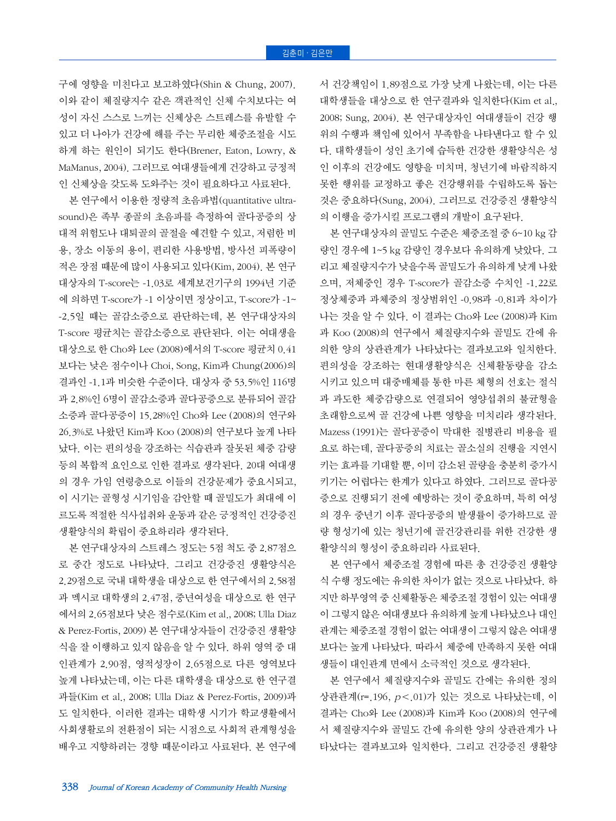구에 영향을 미친다고 보고하였다(Shin & Chung, 2007). 이와 같이 체질량지수 같은 객관적인 신체 수치보다는 여 성이 자신 스스로 느끼는 신체상은 스트레스를 유발할 수 있고 더 나아가 건강에 해를 주는 무리한 체중조절을 시도 하게 하는 원인이 되기도 한다(Brener, Eaton, Lowry, & MaManus, 2004). 그러므로 여대생들에게 건강하고 긍정적 인 신체상을 갖도록 도와주는 것이 필요하다고 사료된다.

본 연구에서 이용한 정량적 초음파법(quantitative ultrasound)은 족부 종골의 초음파를 측정하여 골다공증의 상 대적 위험도나 대퇴골의 골절을 예견할 수 있고, 저렴한 비 용, 장소 이동의 용이, 편리한 사용방법, 방사선 피폭량이 적은 장점 때문에 많이 사용되고 있다(Kim, 2004). 본 연구 대상자의 T-score는 -1.03로 세계보건기구의 1994년 기준 에 의하면 T-score가 -1 이상이면 정상이고, T-score가 -1~ -2.5일 때는 골감소증으로 판단하는데, 본 연구대상자의 T-score 평균치는 골감소증으로 판단된다. 이는 여대생을 대상으로 한 Cho와 Lee (2008)에서의 T-score 평균치 0.41 보다는 낮은 점수이나 Choi, Song, Kim과 Chung(2006)의 결과인 -1.1과 비슷한 수준이다. 대상자 중 53.5%인 116명 과 2.8%인 6명이 골감소증과 골다공증으로 분류되어 골감 소증과 골다공증이 15.28%인 Cho와 Lee (2008)의 연구와 26.3%로 나왔던 Kim과 Koo (2008)의 연구보다 높게 나타 났다. 이는 편의성을 강조하는 식습관과 잘못된 체중 감량 등의 복합적 요인으로 인한 결과로 생각된다. 20대 여대생 의 경우 가임 연령층으로 이들의 건강문제가 중요시되고, 이 시기는 골형성 시기임을 감안할 때 골밀도가 최대에 이 르도록 적절한 식사섭취와 운동과 같은 긍정적인 건강증진 생활양식의 확립이 중요하리라 생각된다.

본 연구대상자의 스트레스 정도는 5점 척도 중 2.87점으 로 중간 정도로 나타났다. 그리고 건강증진 생활양식은 2.29점으로 국내 대학생을 대상으로 한 연구에서의 2.58점 과 멕시코 대학생의 2.47점, 중년여성을 대상으로 한 연구 에서의 2.65점보다 낮은 점수로(Kim et al., 2008; Ulla Diaz & Perez-Fortis, 2009) 본 연구대상자들이 건강증진 생활양 식을 잘 이행하고 있지 않음을 알 수 있다. 하위 영역 중 대 인관계가 2.90점, 영적성장이 2.65점으로 다른 영역보다 높게 나타났는데, 이는 다른 대학생을 대상으로 한 연구결 과들(Kim et al., 2008; Ulla Diaz & Perez-Fortis, 2009)과 도 일치한다. 이러한 결과는 대학생 시기가 학교생활에서 사회생활로의 전환점이 되는 시점으로 사회적 관계형성을 배우고 지향하려는 경향 때문이라고 사료된다. 본 연구에

서 건강책임이 1.89점으로 가장 낮게 나왔는데, 이는 다른 대학생들을 대상으로 한 연구결과와 일치한다(Kim et al., 2008; Sung, 2004). 본 연구대상자인 여대생들이 건강 행 위의 수행과 책임에 있어서 부족함을 나타낸다고 할 수 있 다. 대학생들이 성인 초기에 습득한 건강한 생활양식은 성 인 이후의 건강에도 영향을 미치며, 청년기에 바람직하지 못한 행위를 교정하고 좋은 건강행위를 수립하도록 돕는 것은 중요하다(Sung, 2004). 그러므로 건강증진 생활양식 의 이행을 증가시킬 프로그램의 개발이 요구된다.

본 연구대상자의 골밀도 수준은 체중조절 중 6~10 kg 감 량인 경우에 1~5 kg 감량인 경우보다 유의하게 낮았다. 그 리고 체질량지수가 낮을수록 골밀도가 유의하게 낮게 나왔 으며, 저체중인 경우 T-score가 골감소증 수치인 -1.22로 정상체중과 과체중의 정상범위인 -0.98과 -0.81과 차이가 나는 것을 알 수 있다. 이 결과는 Cho와 Lee (2008)과 Kim 과 Koo (2008)의 연구에서 체질량지수와 골밀도 간에 유 의한 양의 상관관계가 나타났다는 결과보고와 일치한다. 편의성을 강조하는 현대생활양식은 신체활동량을 감소 시키고 있으며 대중매체를 통한 마른 체형의 선호는 절식 과 과도한 체중감량으로 연결되어 영양섭취의 불균형을 초래함으로써 골 건강에 나쁜 영향을 미치리라 생각된다. Mazess (1991)는 골다공증이 막대한 질병관리 비용을 필 요로 하는데, 골다공증의 치료는 골소실의 진행을 지연시 키는 효과를 기대할 뿐, 이미 감소된 골량을 충분히 증가시 키기는 어렵다는 한계가 있다고 하였다. 그러므로 골다공 증으로 진행되기 전에 예방하는 것이 중요하며, 특히 여성 의 경우 중년기 이후 골다공증의 발생률이 증가하므로 골 량 형성기에 있는 청년기에 골건강관리를 위한 건강한 생 활양식의 형성이 중요하리라 사료된다.

본 연구에서 체중조절 경험에 따른 총 건강증진 생활양 식 수행 정도에는 유의한 차이가 없는 것으로 나타났다. 하 지만 하부영역 중 신체활동은 체중조절 경험이 있는 여대생 이 그렇지 않은 여대생보다 유의하게 높게 나타났으나 대인 관계는 체중조절 경험이 없는 여대생이 그렇지 않은 여대생 보다는 높게 나타났다. 따라서 체중에 만족하지 못한 여대 생들이 대인관계 면에서 소극적인 것으로 생각된다.

본 연구에서 체질량지수와 골밀도 간에는 유의한 정의 상관관계(r=.196, <sup>p</sup><.01)가 있는 것으로 나타났는데, 이 결과는 Cho와 Lee (2008)과 Kim과 Koo (2008)의 연구에 서 체질량지수와 골밀도 간에 유의한 양의 상관관계가 나 타났다는 결과보고와 일치한다. 그리고 건강증진 생활양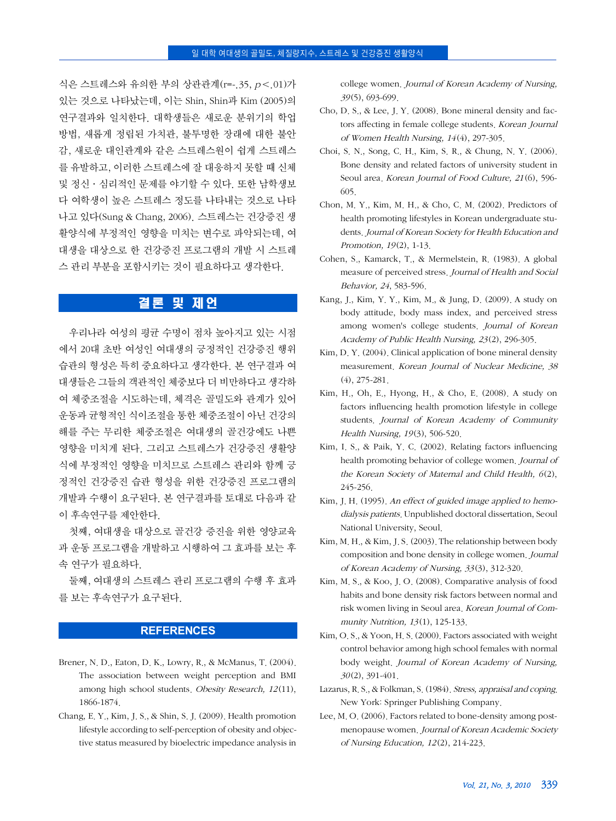식은 스트레스와 유의한 부의 상관관계(r=-.35, <sup>p</sup><.01)가 있는 것으로 나타났는데, 이는 Shin, Shin과 Kim (2005)의 연구결과와 일치한다. 대학생들은 새로운 분위기의 학업 방법, 새롭게 정립된 가치관, 불투명한 장래에 대한 불안 감, 새로운 대인관계와 같은 스트레스원이 쉽게 스트레스 를 유발하고, 이러한 스트레스에 잘 대응하지 못할 때 신체 및 정신·심리적인 문제를 야기할 수 있다. 또한 남학생보 다 여학생이 높은 스트레스 정도를 나타내는 것으로 나타 나고 있다(Sung & Chang, 2006). 스트레스는 건강증진 생 활양식에 부정적인 영향을 미치는 변수로 파악되는데, 여 대생을 대상으로 한 건강증진 프로그램의 개발 시 스트레 스 관리 부분을 포함시키는 것이 필요하다고 생각한다.

# 결론 및 제언

우리나라 여성의 평균 수명이 점차 높아지고 있는 시점 에서 20대 초반 여성인 여대생의 긍정적인 건강증진 행위 습관의 형성은 특히 중요하다고 생각한다. 본 연구결과 여 대생들은 그들의 객관적인 체중보다 더 비만하다고 생각하 여 체중조절을 시도하는데, 체격은 골밀도와 관계가 있어 운동과 균형적인 식이조절을 통한 체중조절이 아닌 건강의 해를 주는 무리한 체중조절은 여대생의 골건강에도 나쁜 영향을 미치게 된다. 그리고 스트레스가 건강증진 생활양 식에 부정적인 영향을 미치므로 스트레스 관리와 함께 긍 정적인 건강증진 습관 형성을 위한 건강증진 프로그램의 개발과 수행이 요구된다. 본 연구결과를 토대로 다음과 같 이 후속연구를 제안한다.

첫째, 여대생을 대상으로 골건강 증진을 위한 영양교육 과 운동 프로그램을 개발하고 시행하여 그 효과를 보는 후 속 연구가 필요하다.

둘째, 여대생의 스트레스 관리 프로그램의 수행 후 효과 를 보는 후속연구가 요구된다.

### **REFERENCES**

- Brener, N. D., Eaton, D. K., Lowry, R., & McManus, T. (2004). The association between weight perception and BMI among high school students. Obesity Research, <sup>12</sup>(11), 1866-1874.
- Chang, E. Y., Kim, J. S., & Shin, S. J. (2009). Health promotion lifestyle according to self-perception of obesity and objective status measured by bioelectric impedance analysis in

college women. Journal of Korean Academy of Nursing, 39(5), 693-699.

- Cho, D. S., & Lee, J. Y. (2008). Bone mineral density and factors affecting in female college students. Korean Journal of Women Health Nursing, 14(4), 297-305.
- Choi, S. N., Song, C. H., Kim, S. R., & Chung, N. Y. (2006). Bone density and related factors of university student in Seoul area. Korean Journal of Food Culture, <sup>21</sup>(6), 596- 605.
- Chon, M. Y., Kim, M. H., & Cho, C. M. (2002). Predictors of health promoting lifestyles in Korean undergraduate students. Journal of Korean Society for Health Education and Promotion, 19(2), 1-13.
- Cohen, S., Kamarck, T., & Mermelstein, R. (1983). A global measure of perceived stress. Journal of Health and Social Behavior, 24, 583-596.
- Kang, J., Kim, Y. Y., Kim, M., & Jung, D. (2009). A study on body attitude, body mass index, and perceived stress among women's college students. Journal of Korean Academy of Public Health Nursing, 23(2), 296-305.
- Kim, D. Y. (2004). Clinical application of bone mineral density measurement. Korean Journal of Nuclear Medicine, 38 (4), 275-281.
- Kim, H., Oh, E., Hyong, H., & Cho, E. (2008). A study on factors influencing health promotion lifestyle in college students. Journal of Korean Academy of Community Health Nursing, 19(3), 506-520.
- Kim, I. S., & Paik, Y. C. (2002). Relating factors influencing health promoting behavior of college women. Journal of the Korean Society of Maternal and Child Health, 6(2), 245-256.
- Kim, J. H. (1995). An effect of guided image applied to hemodialysis patients. Unpublished doctoral dissertation, Seoul National University, Seoul.
- Kim, M. H., & Kim, J. S. (2003). The relationship between body composition and bone density in college women. Journal of Korean Academy of Nursing, 33(3), 312-320.
- Kim, M. S., & Koo, J. O. (2008). Comparative analysis of food habits and bone density risk factors between normal and risk women living in Seoul area. Korean Journal of Community Nutrition, 13(1), 125-133.
- Kim, O. S., & Yoon, H. S. (2000). Factors associated with weight control behavior among high school females with normal body weight. Journal of Korean Academy of Nursing, 30(2), 391-401.
- Lazarus, R. S., & Folkman, S. (1984). Stress, appraisal and coping. New York: Springer Publishing Company.
- Lee, M. O. (2006). Factors related to bone-density among postmenopause women. Journal of Korean Academic Society of Nursing Education, <sup>12</sup>(2), 214-223.